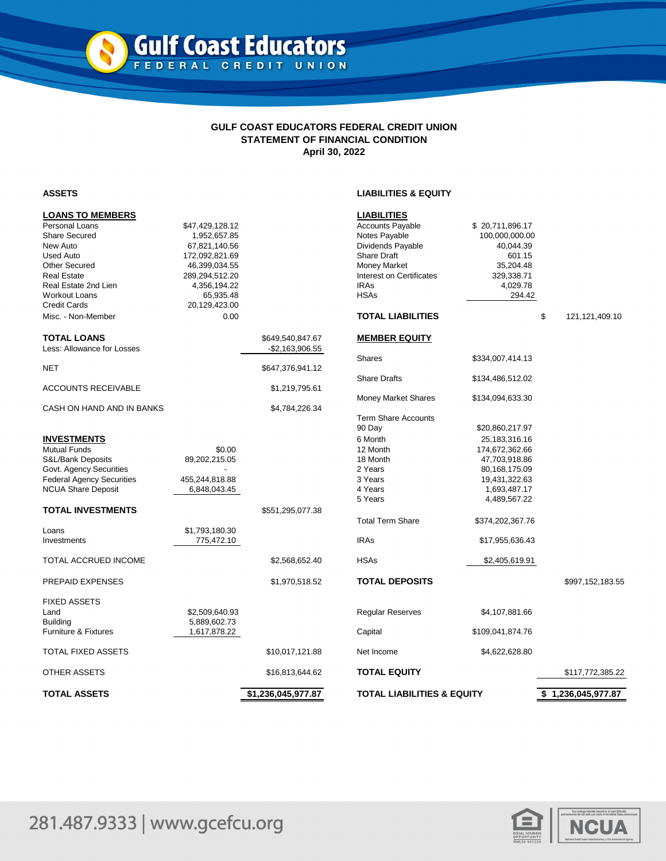## **GULF COAST EDUCATORS FEDERAL CREDIT UNION STATEMENT OF FINANCIAL CONDITION April 30, 2022**

## **ASSETS LIABILITIES & EQUITY**

| <b>LOANS TO MEMBERS</b>          |                 |                    | <b>LIABILITIES</b>                    |                  |                         |
|----------------------------------|-----------------|--------------------|---------------------------------------|------------------|-------------------------|
| Personal Loans                   | \$47,429,128.12 |                    | <b>Accounts Payable</b>               | \$20,711,896.17  |                         |
| <b>Share Secured</b>             | 1,952,657.85    |                    | Notes Payable                         | 100,000,000.00   |                         |
| New Auto                         | 67,821,140.56   |                    | Dividends Payable                     | 40,044.39        |                         |
| <b>Used Auto</b>                 | 172,092,821.69  |                    | <b>Share Draft</b>                    | 601.15           |                         |
| <b>Other Secured</b>             | 46,399,034.55   |                    | <b>Money Market</b>                   | 35,204.48        |                         |
| <b>Real Estate</b>               | 289,294,512.20  |                    | Interest on Certificates              | 329,338.71       |                         |
| Real Estate 2nd Lien             | 4,356,194.22    |                    | <b>IRAs</b>                           | 4,029.78         |                         |
| Workout Loans                    | 65,935.48       |                    | <b>HSAs</b>                           | 294.42           |                         |
| <b>Credit Cards</b>              | 20,129,423.00   |                    |                                       |                  |                         |
|                                  |                 |                    | <b>TOTAL LIABILITIES</b>              |                  |                         |
| Misc. - Non-Member               | 0.00            |                    |                                       |                  | \$<br>121, 121, 409. 10 |
| <b>TOTAL LOANS</b>               |                 | \$649,540,847.67   | <b>MEMBER EQUITY</b>                  |                  |                         |
| Less: Allowance for Losses       |                 | $-$ \$2,163,906.55 |                                       |                  |                         |
| NET                              |                 | \$647,376,941.12   | <b>Shares</b>                         | \$334,007,414.13 |                         |
|                                  |                 |                    | <b>Share Drafts</b>                   | \$134,486,512.02 |                         |
| ACCOUNTS RECEIVABLE              |                 | \$1,219,795.61     |                                       |                  |                         |
|                                  |                 |                    | <b>Money Market Shares</b>            | \$134,094,633.30 |                         |
| CASH ON HAND AND IN BANKS        |                 | \$4,784,226.34     | <b>Term Share Accounts</b>            |                  |                         |
|                                  |                 |                    | 90 Day                                | \$20,860,217.97  |                         |
| <b>INVESTMENTS</b>               |                 |                    | 6 Month                               | 25, 183, 316. 16 |                         |
| <b>Mutual Funds</b>              | \$0.00          |                    | 12 Month                              | 174,672,362.66   |                         |
| S&L/Bank Deposits                | 89,202,215.05   |                    | 18 Month                              | 47,703,918.86    |                         |
| Govt. Agency Securities          |                 |                    | 2 Years                               | 80,168,175.09    |                         |
| <b>Federal Agency Securities</b> | 455,244,818.88  |                    | 3 Years                               | 19,431,322.63    |                         |
| <b>NCUA Share Deposit</b>        | 6,848,043.45    |                    | 4 Years                               | 1,693,487.17     |                         |
|                                  |                 |                    | 5 Years                               | 4,489,567.22     |                         |
| TOTAL INVESTMENTS                |                 | \$551,295,077.38   |                                       |                  |                         |
|                                  |                 |                    | <b>Total Term Share</b>               | \$374,202,367.76 |                         |
| Loans                            | \$1,793,180.30  |                    |                                       |                  |                         |
| Investments                      | 775,472.10      |                    | <b>IRAs</b>                           | \$17,955,636.43  |                         |
| <b>TOTAL ACCRUED INCOME</b>      |                 | \$2,568,652.40     | <b>HSAs</b>                           | \$2,405,619.91   |                         |
| PREPAID EXPENSES                 |                 | \$1,970,518.52     | <b>TOTAL DEPOSITS</b>                 |                  | \$997,152,183.55        |
| <b>FIXED ASSETS</b>              |                 |                    |                                       |                  |                         |
| Land                             | \$2,509,640.93  |                    | Regular Reserves                      | \$4,107,881.66   |                         |
| <b>Building</b>                  | 5,889,602.73    |                    |                                       |                  |                         |
| Furniture & Fixtures             | 1,617,878.22    |                    | Capital                               | \$109,041,874.76 |                         |
| TOTAL FIXED ASSETS               |                 | \$10,017,121.88    | Net Income                            | \$4,622,628.80   |                         |
| OTHER ASSETS                     |                 | \$16,813,644.62    | <b>TOTAL EQUITY</b>                   |                  | \$117,772,385.22        |
| TOTAL ASSETS                     |                 | \$1,236,045,977.87 | <b>TOTAL LIABILITIES &amp; EQUITY</b> |                  | \$1,236,045,977.87      |